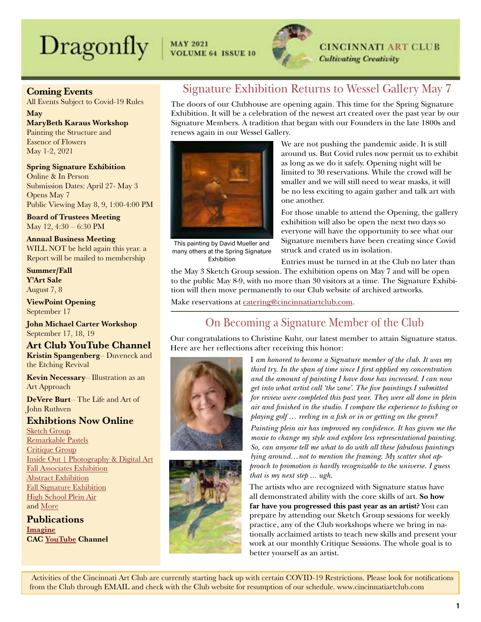# $\text{Dragonly}$   $\vert$  MAY 2021



## **CINCINNATI ART CLUB Cultivating Creativity**

Coming Events

All Events Subject to Covid-19 Rules

May MaryBeth Karaus Workshop Painting the Structure and Essence of Flowers May 1-2, 2021

Spring Signature Exhibition Online & In Person Submission Dates: April 27- May 3 Opens May 7 Public Viewing May 8, 9, 1:00-4:00 PM

Board of Trustees Meeting May 12, 4:30 – 6:30 PM

Annual Business Meeting WILL NOT be held again this year. a Report will be mailed to membership

Summer/Fall Y'Art Sale August 7, 8

ViewPoint Opening September 17

John Michael Carter Workshop September 17, 18, 19

Art Club YouTube Channel Kristin Spangenberg– Duveneck and the Etching Revival

Kevin Necessary– Illustration as an Art Approach

DeVere Burt– The Life and Art of John Ruthven

Exhibtions Now Online

[Sketch Group](https://cincinnatiartclub.org/2021-sketch-group-exhibition/) [Remarkable Pastels](https://cincinnatiartclub.org/cac-exhibitions/2021-remarkable-pastels/) [Critique Group](https://cincinnatiartclub.org/2021-critique-group-exhibition/) [Inside Out | Photography & Digital Art](https://cincinnatiartclub.org/cac-exhibitions/inside-out-photography-and-digital-exhibition-2021/) [Fall Associates Exhibition](https://cincinnatiartclub.org/cac-fall-2020-associate-show/) [Abstract Exhibition](https://cincinnatiartclub.org/2020-abstract-exhibition/) [Fall Signature Exhibition](https://cincinnatiartclub.org/signature-member-exhibition-fall-2020/) [High School Plein Air](https://cincinnatiartclub.org/cac-high-school-plein-air-2020/) and [More](http://www.cincinnatiartclub.com/index.html)

**Publications** [Imagine](https://cincinnatiartclub.org/Imagine) CAC [YouTube](https://www.youtube.com/channel/UCUfJGPsIhKnIrCSoALXW2LA) Channel

# Signature Exhibition Returns to Wessel Gallery May 7

The doors of our Clubhouse are opening again. This time for the Spring Signature Exhibition. It will be a celebration of the newest art created over the past year by our Signature Members. A tradition that began with our Founders in the late 1800s and renews again in our Wessel Gallery.



This painting by David Mueller and many others at the Spring Signature Exhibition

We are not pushing the pandemic aside. It is still around us. But Covid rules now permit us to exhibit as long as we do it safely. Opening night will be limited to 30 reservations. While the crowd will be smaller and we will still need to wear masks, it will be no less exciting to again gather and talk art with one another.

For those unable to attend the Opening, the gallery exhibition will also be open the next two days so everyone will have the opportunity to see what our Signature members have been creating since Covid struck and crated us in isolation.

Entries must be turned in at the Club no later than the May 3 Sketch Group session. The exhibition opens on May 7 and will be open to the public May 8-9, with no more than 30 visitors at a time. The Signature Exhibition will then move permanently to our Club website of archived artworks.

Make reservations at [catering@cincinnatiartclub.com](mailto:catering%40cincinnatiartclub.com?subject=).

# On Becoming a Signature Member of the Club

Our congratulations to Christine Kuhr, our latest member to attain Signature status. Here are her reflections after receiving this honor:





I *am honored to become a Signature member of the club. It was my third try. In the span of time since I first applied my concentration and the amount of painting I have done has increased. I can now get into what artist call 'the zone'. The five paintings I submitted for review were completed this past year. They were all done in plein air and finished in the studio. I compare the experience to fishing or playing golf … reeling in a fish or in or getting on the green?*

*Painting plein air has improved my confidence. It has given me the moxie to change my style and explore less representational painting. So, can anyone tell me what to do with all these fabulous paintings lying around…not to mention the framing. My scatter shot approach to promotion is hardly recognizable to the universe. I guess that is my next step ... ugh.*

The artists who are recognized with Signature status have all demonstrated ability with the core skills of art. **So how far have you progressed this past year as an artist?** You can prepare by attending our Sketch Group sessions for weekly practice, any of the Club workshops where we bring in nationally acclaimed artists to teach new skills and present your work at our monthly Critique Sessions. The whole goal is to better yourself as an artist.

 Activities of the Cincinnati Art Club are currently starting back up with certain COVID-19 Restrictions. Please look for notifications from the Club through EMAIL and check with the Club website for resumption of our schedule. www.cincinnatiartclub.com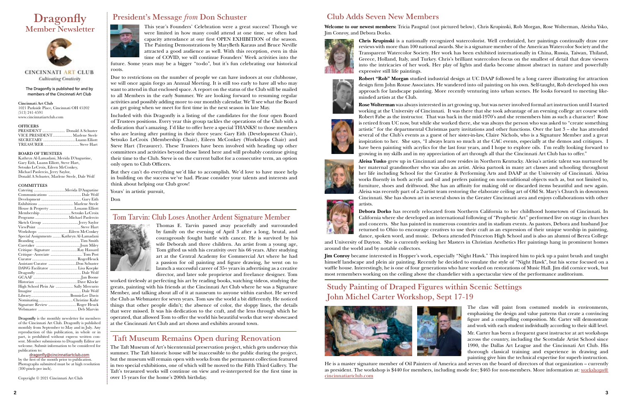#### The Dragonfly is published for and by members of the Cincinnati Art Club

Cincinnati Art Club 1021 Parkside Place, Cincinnati OH 45202 (513) 241-4591 www.cincinnatiartclub.com

#### **OFFICERS**

| VICE PRESIDENT Marlene Steele |  |
|-------------------------------|--|
| SECRETARY Luann Elliott       |  |
|                               |  |

#### BOARD OF TRUSTEES

Kathryn Al-Lamadani, Merida D'Augustine, Gary Eith, Luann Elliott, Steve Hart, Setsuko LeCroix, Eileen McConkey, Michael Paolercio, Jerry Saylor, Donald A Schuster, Marlene Steele, Dale Wolf

#### **COMMITTEES**

| Catering Merida D'Augustine              |  |
|------------------------------------------|--|
|                                          |  |
|                                          |  |
|                                          |  |
| House & Property Louann Elliott          |  |
| Membership Setsuko LeCroix               |  |
| Programs  Michael Paolercio              |  |
|                                          |  |
|                                          |  |
| Workshops Eileen McConkey                |  |
| Special Assignments  Kathryn Al-Lamadani |  |
|                                          |  |
|                                          |  |
| Critique–Signature Ray Hassard           |  |
| Critique-Associate  Tom Post             |  |
|                                          |  |
| Assistant Curator Don Schuster           |  |
|                                          |  |
|                                          |  |
|                                          |  |
|                                          |  |
| High School Plein Air  Sally Mercurio    |  |
|                                          |  |
|                                          |  |
|                                          |  |
| Signature Review Roger Heuck             |  |
|                                          |  |

Dragonfly is the monthly newsletter for members of the Cincinnati Art Club. Dragonfly is published monthly from September to May and in July. Any reproduction of this publication, in whole or in part, is prohibited without express written consent. Member submissions to Dragonfly Editor are welcome. Submit information to be considered for publication to:

#### [dragonfly@cincinnatiartclub.com](mailto:dragonfly%40cincinnatiartclub.com?subject=dragonfly%40cincinnatiartclub.com) by the first of the month prior to publication. Photographs submitted must be at high resolution (300 pixels per inch).

Copyright © 2021 Cincinnati Art Club







**CINCINNATI ART CLUB Cultivating Creativity** 

# President's Message *from* Don Schuster

This year's Founders' Celebration were a great success! Though we were limited in how many could attend at one time, we often had capacity attendance at our first OPEN EXHIBITION of the season. The Painting Demonstrations by MaryBeth Karaus and Bruce Neville attracted a good audience as well. With this reception, even in this time of COVID, we will continue Founders' Week activities into the

future. Some years may be a bigger "to-do", but it's fun celebrating our historical roots.

Due to restrictions on the number of people we can have indoors at our clubhouse, we will once again forgo an Annual Meeting. It is still too early to have all who may want to attend in that enclosed space. A report on the status of the Club will be mailed to all Members in the early Summer. We are looking forward to resuming regular activities and possibly adding more to our monthly calendar. We'll see what the Board can get going when we meet for first time in the next season in late May.

Included with this Dragonfly is a listing of the candidates for the four open Board of Trustees positions. Every year this group tackles the operations of the Club with a dedication that's amazing. I'd like to offer here a special THANKS! to those members who are leaving after putting in their three years: Gary Eith (Development Chair), Setsuko LeCroix (Membership Chair), Eileen McConkey (Workshops Chair) and Steve Hart (Treasurer). These Trustees have been involved with heading up other committees and activities beyond those listed here and will probably continue giving their time to the Club. Steve is on the current ballot for a consecutive term, an option only open to Club Officers.

But they can't do everything we'd like to accomplish. We'd love to have more help in building on the success we've had. Please consider your talents and interests and think about helping our Club grow!

Yours' in artistic pursuit,

Don

## Tom Tarvin: Club Loses Another Ardent Signature Member



Thomas E. Tarvin passed away peacefully and surrounded by family on the evening of April 3 after a long, brutal, and courageously fought battle with cancer. He is survived by his wife Deborah and three children. An artist from a young age, Tom gifted us with his creativity over his 66 years. After studying art at the Central Academy for Commercial Art where he had a passion for oil painting and figure drawing, he went on to launch a successful career of 35+ years in advertising as a creative director, and later sole proprietor and freelance designer. Tom

worked tirelessly at perfecting his art by reading books, watching videos, studying the greats, painting with his friends at the Cincinnati Art Club where he was a Signature Member, and talking about all of it at nauseum to anyone within earshot. He served the Club as Webmaster for seven years. Tom saw the world a bit differently. He noticed things that other people didn't; the absence of color, the sloppy lines, the details that were missed. It was his dedication to the craft, and the lens through which he operated, that allowed Tom to offer the world his beautiful works that were showcased at the Cincinnati Art Club and art shows and exhibits around town.

## Taft Museum Remains Open during Renovation

The Taft Museum of Art's bicentennial preservation project, which gets underway this summer. The Taft historic house will be inaccessible to the public during the project, but the museum will remain open with works from the permanent collection featured in two special exhibitions, one of which will be moved to the Fifth Third Gallery. The Taft's treasured works will continue on view and re-interpreted for the first time in over 15 years for the home's 200th birthday.

# Study Painting of Draped Figures within Scenic Settings John Michel Carter Workshop, Sept 17-19



The class will paint from costumed models in environments, emphasizing the design and value patterns that create a convincing figure and a compelling composition. Mr. Carter will demonstrate and work with each student individually according to their skill level.

Mr. Carter has been a frequent guest instructor at art workshops across the country, including the Scottsdale Artist School since 1990, the Dallas Art League and the Cincinnati Art Club. His thorough classical training and experience in drawing and painting give him the technical expertise for superb instruction.

He is a master signature member of Oil Painters of America and serves on the board of directors of that organization – currently as president. The workshop is \$440 for members, including mode fee; \$465 for non-members. More information at: [workshops@](mailto:workshops%40cincinnatiartclub.com?subject=) [cincinnatiartclub.com](mailto:workshops%40cincinnatiartclub.com?subject=)

## Club Adds Seven New Members

**Welcome to our newest members:** Tricia Paugstal (not pictured below), Chris Krupinski, Rob Morgan, Rose Wolterman, Aleisha Ysko, Jim Conroy, and Debora Dorko.



**Chris Krupinski** is a nationally recognized watercolorist. Well credntialed, her paintings continually draw rave reviews with more than 100 national awards. She is a signature member of the American Watercolor Society and the Transparent Watercolor Society. Her work has been exhibited internationally in China, Russia, Taiwan, Thiland, Greece, Holland, Italy, and Turkey. Chris's brilliant watercolors focus on the smallest of detail that draw viewers into the intricacies of her work. Her play of lights and darks become almost abstract in nature and powerfully expressive still life paintings.

**Robert "Rob" Morgan** studied industrial design at UC DAAP followed by a long career illustrating for attraction design firm John Rouse Associates. He wandered into oil painting on his own. Self-taught, Rob developed his own approach for landscape painting. More recently venturing into urban scenes. He looks forward to meeting like-



minded artists at the Club.



**Rose Wolterman** was always interested in art growing up, but was never involved formal art instruction until I started working at the University of Cincinnati. It was there that she took advantage of an evening college art course with Robert Fabe as the instructor. That was back in the mid-1970's and she remembers him as such a character! Rose is retired from UC now, but while she worked there, she was always the person who was asked to "create something artistic" for the departmental Christmas party invitations and other functions. Over the last 3 – she has attended several of the Club's events as a guest of her sister-in-law, Claire Nichols, who is a Signature Member and a great inspiration to her. She says, "I always learn so much at the CAC events, especially at the demos and critiques. I have been painting with acrylics for the last four years, and I hope to explore oils. I'm really looking forward to growing in my skills and in my appreciation of art through all that the Cincinnati Art Club has to offer."



**Aleisa Yusko** grew up in Cincinnati and now resides in Northern Kentucky. Aleisa's artistic talent was nurtured by her maternal grandmother who was also an artist. Aleisa partook in many art classes and schooling throughout her life including School for the Creative & Performing Arts and DAAP at the University of Cincinnati. Aleisa works fluently in both acrylic and oil and prefers painting on non-traditional objects such as, but not limited to, furniture, shoes and driftwood. She has an affinity for making old or discarded items beautiful and new again. Aleisa was recently part of a 2-artist team restoring the elaborate ceiling art of Old St. Mary's Church in downtown Cincinnati. She has shown art in several shows in the Greater Cincinnati area and enjoys collaborations with other artists.



**Debora Dorko** has recently relocated from Northern California to her childhood hometown of Cincinnati. In California where she developed an international following of "Prophetic Art" performed live on stage in churches and concerts. She has painted in numerous countries and in stadium events. As pastors, Debora and husband Joe returned to Ohio to encourage creatives to use their craft as an expression of their unique worship in painting, dance, spoken word, and music. Debora attended Princeton High School and is also an alumni of Berea College

and University of Dayton. She is currently seeking her Masters in Christian Aesthetics Her paintings hang in prominent homes around the world and by notable collectors.

**Jim Conroy** became interested in Hopper's work, especially "Night Hawk." This inspired him to pick up a paint brush and taught himself landscape and plein air painting. Recently he decided to emulate the style of "Night Hawk", but his scene focused on a waffle house. Interestingly, he is one of four generations who have worked on restorations of Music Hall. Jim did cornice work, but most remembers working on the ceiling above the chandelier with a spectacular view of the performance auditorium.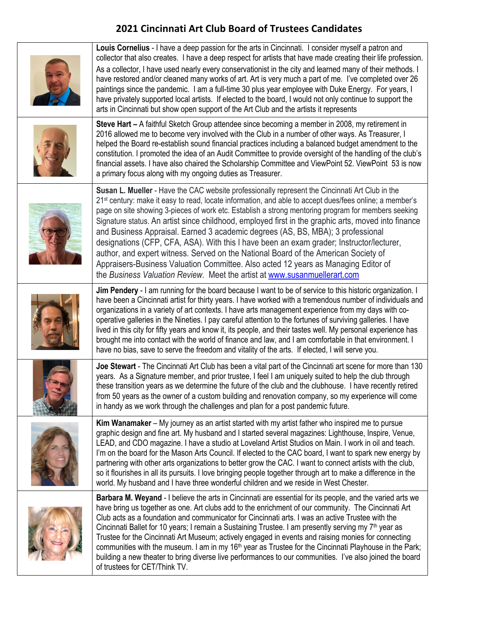# **2021 Cincinnati Art Club Board of Trustees Candidates**

| Louis Cornelius - I have a deep passion for the arts in Cincinnati. I consider myself a patron and<br>collector that also creates. I have a deep respect for artists that have made creating their life profession.<br>As a collector, I have used nearly every conservationist in the city and learned many of their methods. I<br>have restored and/or cleaned many works of art. Art is very much a part of me. I've completed over 26<br>paintings since the pandemic. I am a full-time 30 plus year employee with Duke Energy. For years, I<br>have privately supported local artists. If elected to the board, I would not only continue to support the<br>arts in Cincinnati but show open support of the Art Club and the artists it represents                                                                                                                       |
|-------------------------------------------------------------------------------------------------------------------------------------------------------------------------------------------------------------------------------------------------------------------------------------------------------------------------------------------------------------------------------------------------------------------------------------------------------------------------------------------------------------------------------------------------------------------------------------------------------------------------------------------------------------------------------------------------------------------------------------------------------------------------------------------------------------------------------------------------------------------------------|
| Steve Hart – A faithful Sketch Group attendee since becoming a member in 2008, my retirement in<br>2016 allowed me to become very involved with the Club in a number of other ways. As Treasurer, I<br>helped the Board re-establish sound financial practices including a balanced budget amendment to the<br>constitution. I promoted the idea of an Audit Committee to provide oversight of the handling of the club's<br>financial assets. I have also chaired the Scholarship Committee and ViewPoint 52. ViewPoint 53 is now<br>a primary focus along with my ongoing duties as Treasurer.                                                                                                                                                                                                                                                                              |
| Susan L. Mueller - Have the CAC website professionally represent the Cincinnati Art Club in the<br>21 <sup>st</sup> century: make it easy to read, locate information, and able to accept dues/fees online; a member's<br>page on site showing 3-pieces of work etc. Establish a strong mentoring program for members seeking<br>Signature status. An artist since childhood, employed first in the graphic arts, moved into finance<br>and Business Appraisal. Earned 3 academic degrees (AS, BS, MBA); 3 professional<br>designations (CFP, CFA, ASA). With this I have been an exam grader; Instructor/lecturer,<br>author, and expert witness. Served on the National Board of the American Society of<br>Appraisers-Business Valuation Committee. Also acted 12 years as Managing Editor of<br>the Business Valuation Review. Meet the artist at www.susanmuellerart.com |
| Jim Pendery - I am running for the board because I want to be of service to this historic organization. I<br>have been a Cincinnati artist for thirty years. I have worked with a tremendous number of individuals and<br>organizations in a variety of art contexts. I have arts management experience from my days with co-<br>operative galleries in the Nineties. I pay careful attention to the fortunes of surviving galleries. I have<br>lived in this city for fifty years and know it, its people, and their tastes well. My personal experience has<br>brought me into contact with the world of finance and law, and I am comfortable in that environment. I<br>have no bias, save to serve the freedom and vitality of the arts. If elected, I will serve you.                                                                                                    |
| Joe Stewart - The Cincinnati Art Club has been a vital part of the Cincinnati art scene for more than 130<br>years. As a Signature member, and prior trustee, I feel I am uniquely suited to help the club through<br>these transition years as we determine the future of the club and the clubhouse. I have recently retired<br>from 50 years as the owner of a custom building and renovation company, so my experience will come<br>in handy as we work through the challenges and plan for a post pandemic future.                                                                                                                                                                                                                                                                                                                                                       |
| Kim Wanamaker - My journey as an artist started with my artist father who inspired me to pursue<br>graphic design and fine art. My husband and I started several magazines: Lighthouse, Inspire, Venue,<br>LEAD, and CDO magazine. I have a studio at Loveland Artist Studios on Main. I work in oil and teach.<br>I'm on the board for the Mason Arts Council. If elected to the CAC board, I want to spark new energy by<br>partnering with other arts organizations to better grow the CAC. I want to connect artists with the club,<br>so it flourishes in all its pursuits. I love bringing people together through art to make a difference in the<br>world. My husband and I have three wonderful children and we reside in West Chester.                                                                                                                              |
| Barbara M. Weyand - I believe the arts in Cincinnati are essential for its people, and the varied arts we<br>have bring us together as one. Art clubs add to the enrichment of our community. The Cincinnati Art<br>Club acts as a foundation and communicator for Cincinnati arts. I was an active Trustee with the<br>Cincinnati Ballet for 10 years; I remain a Sustaining Trustee. I am presently serving my 7 <sup>th</sup> year as<br>Trustee for the Cincinnati Art Museum; actively engaged in events and raising monies for connecting<br>communities with the museum. I am in my 16 <sup>th</sup> year as Trustee for the Cincinnati Playhouse in the Park;<br>building a new theater to bring diverse live performances to our communities. I've also joined the board<br>of trustees for CET/Think TV.                                                            |